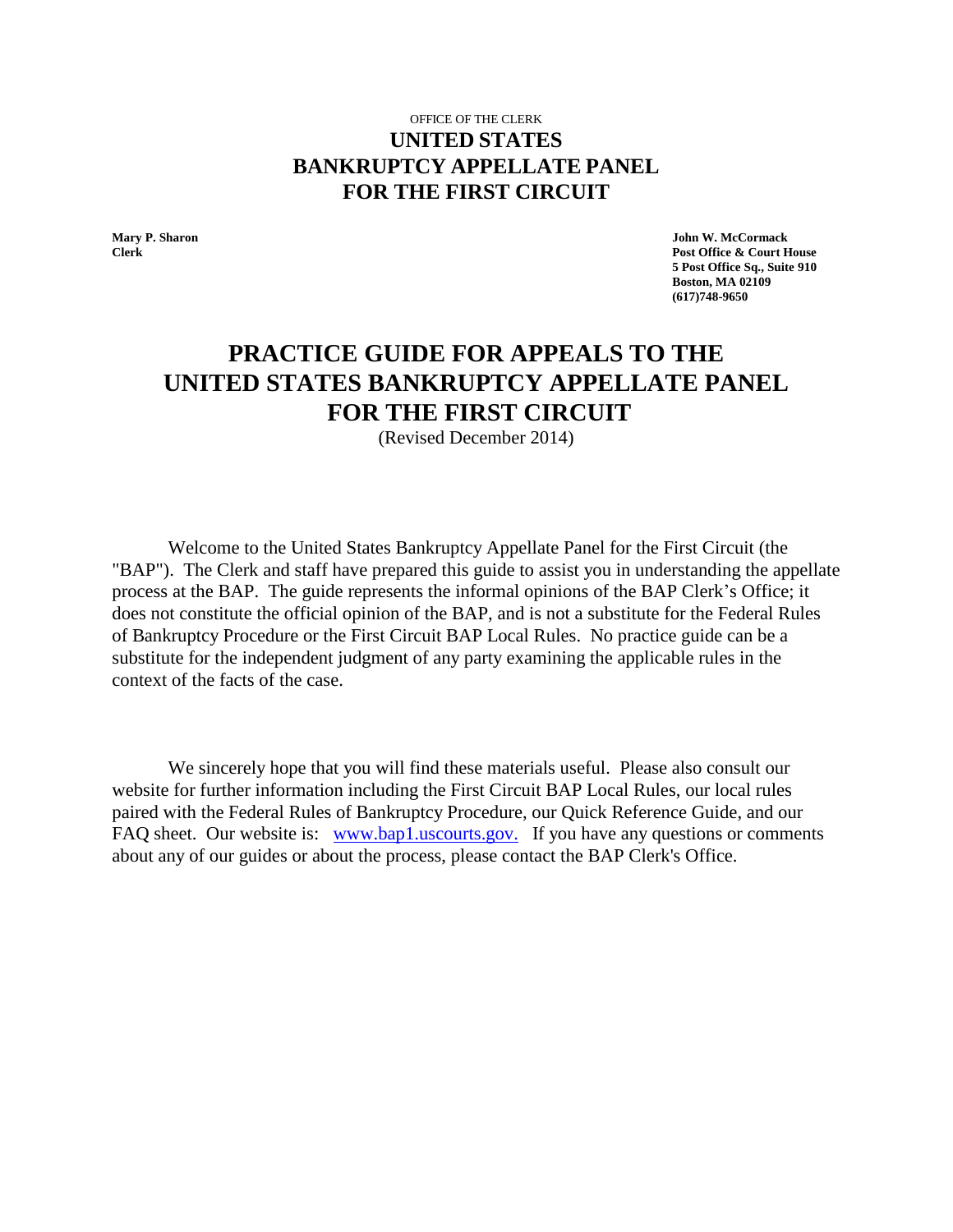## OFFICE OF THE CLERK **UNITED STATES BANKRUPTCY APPELLATE PANEL FOR THE FIRST CIRCUIT**

**Mary P. Sharon John W. McCormack Clerk Post Office & Court House 5 Post Office Sq., Suite 910 Boston, MA 02109 (617)748-9650**

# **PRACTICE GUIDE FOR APPEALS TO THE UNITED STATES BANKRUPTCY APPELLATE PANEL FOR THE FIRST CIRCUIT**

(Revised December 2014)

Welcome to the United States Bankruptcy Appellate Panel for the First Circuit (the "BAP"). The Clerk and staff have prepared this guide to assist you in understanding the appellate process at the BAP. The guide represents the informal opinions of the BAP Clerk's Office; it does not constitute the official opinion of the BAP, and is not a substitute for the Federal Rules of Bankruptcy Procedure or the First Circuit BAP Local Rules. No practice guide can be a substitute for the independent judgment of any party examining the applicable rules in the context of the facts of the case.

We sincerely hope that you will find these materials useful. Please also consult our website for further information including the First Circuit BAP Local Rules, our local rules paired with the Federal Rules of Bankruptcy Procedure, our Quick Reference Guide, and our FAQ sheet. Our website is: [www.bap1.uscourts.gov.](http://www.bap1.uscourts.gov./) If you have any questions or comments about any of our guides or about the process, please contact the BAP Clerk's Office.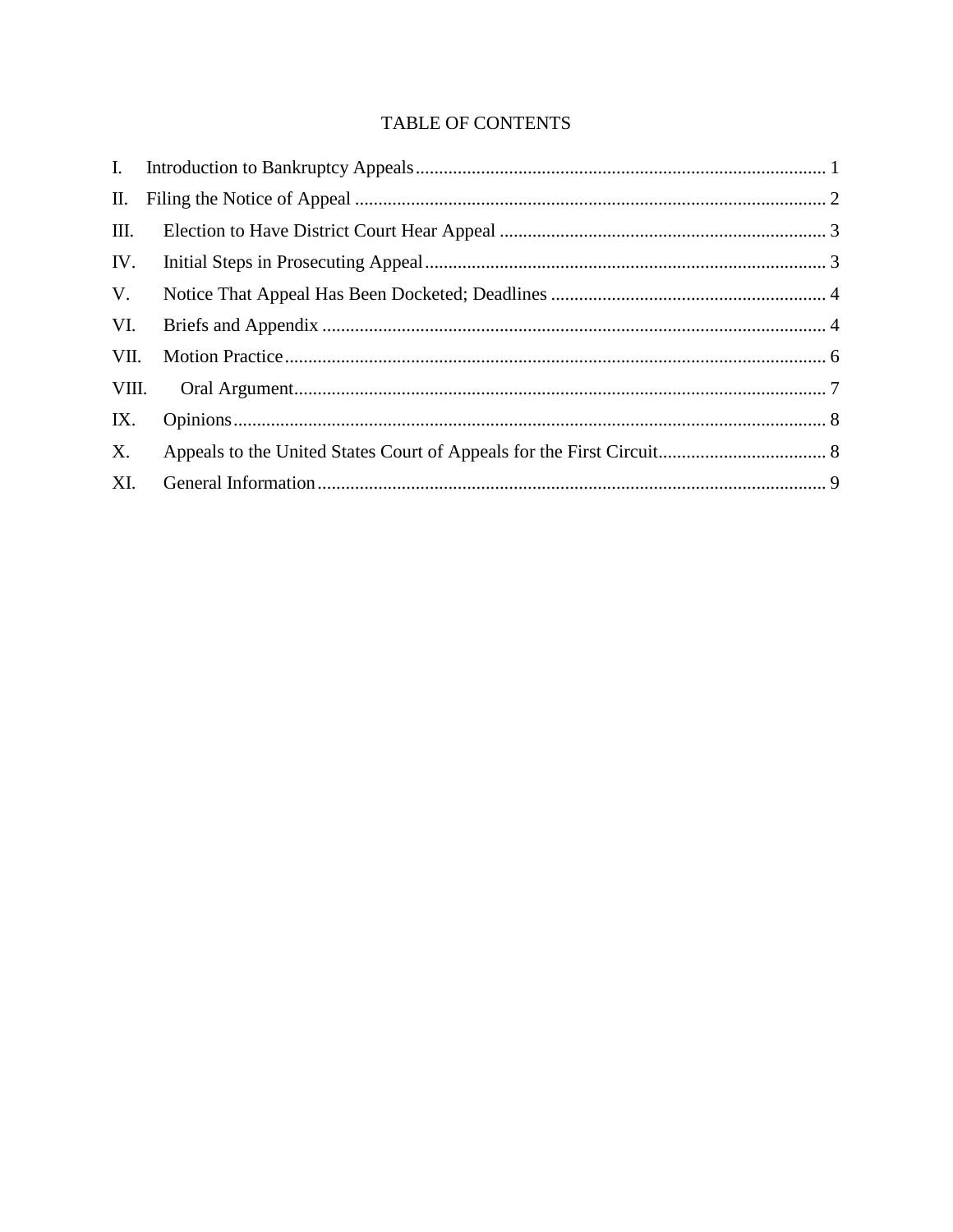# TABLE OF CONTENTS

| Ш.   |  |
|------|--|
|      |  |
| V.   |  |
| VI.  |  |
| VII. |  |
|      |  |
| IX.  |  |
| X.   |  |
| XI.  |  |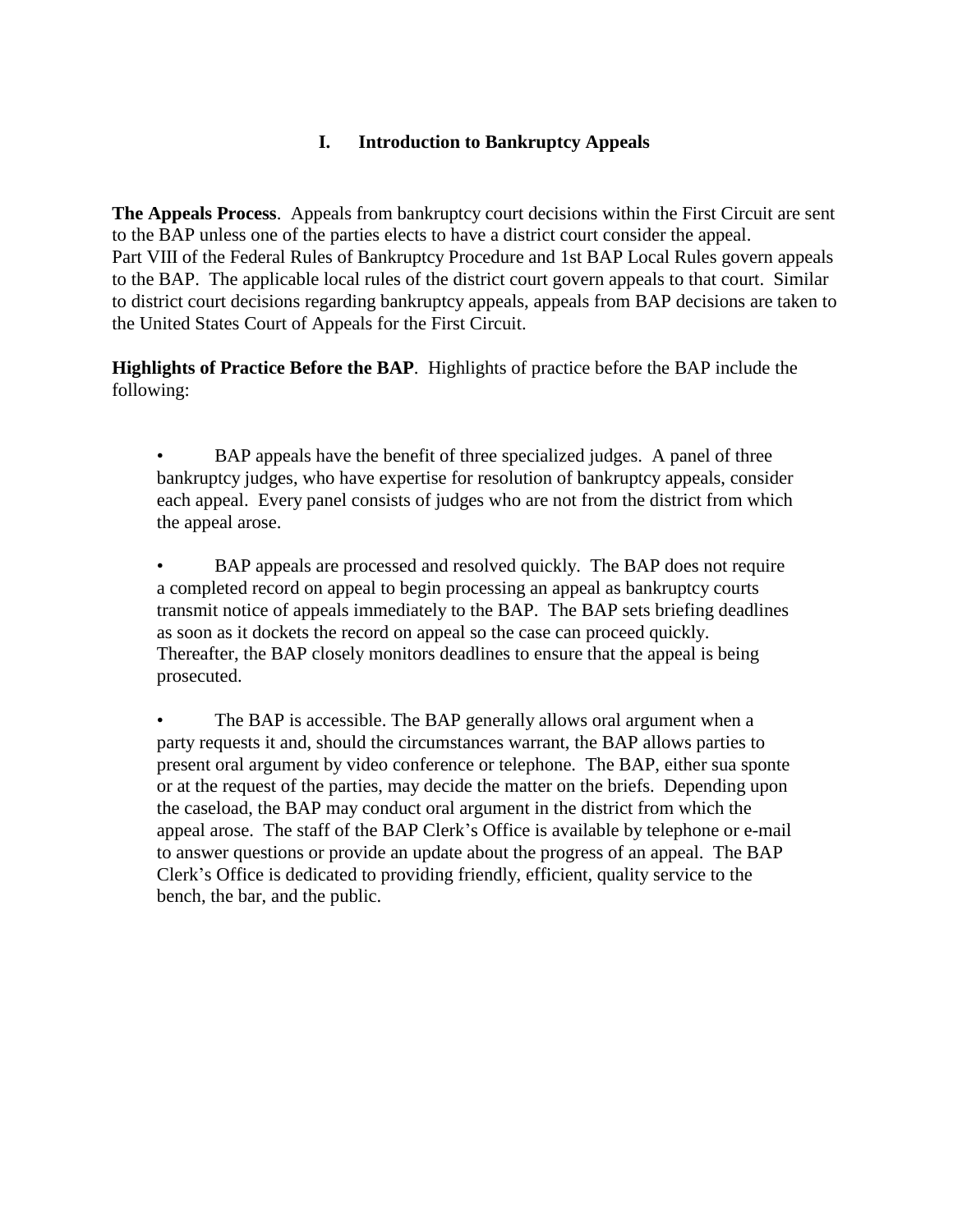## **I. Introduction to Bankruptcy Appeals**

<span id="page-2-0"></span>**The Appeals Process**. Appeals from bankruptcy court decisions within the First Circuit are sent to the BAP unless one of the parties elects to have a district court consider the appeal. Part VIII of the Federal Rules of Bankruptcy Procedure and 1st BAP Local Rules govern appeals to the BAP. The applicable local rules of the district court govern appeals to that court. Similar to district court decisions regarding bankruptcy appeals, appeals from BAP decisions are taken to the United States Court of Appeals for the First Circuit.

**Highlights of Practice Before the BAP**. Highlights of practice before the BAP include the following:

BAP appeals have the benefit of three specialized judges. A panel of three bankruptcy judges, who have expertise for resolution of bankruptcy appeals, consider each appeal. Every panel consists of judges who are not from the district from which the appeal arose.

• BAP appeals are processed and resolved quickly. The BAP does not require a completed record on appeal to begin processing an appeal as bankruptcy courts transmit notice of appeals immediately to the BAP. The BAP sets briefing deadlines as soon as it dockets the record on appeal so the case can proceed quickly. Thereafter, the BAP closely monitors deadlines to ensure that the appeal is being prosecuted.

The BAP is accessible. The BAP generally allows oral argument when a party requests it and, should the circumstances warrant, the BAP allows parties to present oral argument by video conference or telephone. The BAP, either sua sponte or at the request of the parties, may decide the matter on the briefs. Depending upon the caseload, the BAP may conduct oral argument in the district from which the appeal arose. The staff of the BAP Clerk's Office is available by telephone or e-mail to answer questions or provide an update about the progress of an appeal. The BAP Clerk's Office is dedicated to providing friendly, efficient, quality service to the bench, the bar, and the public.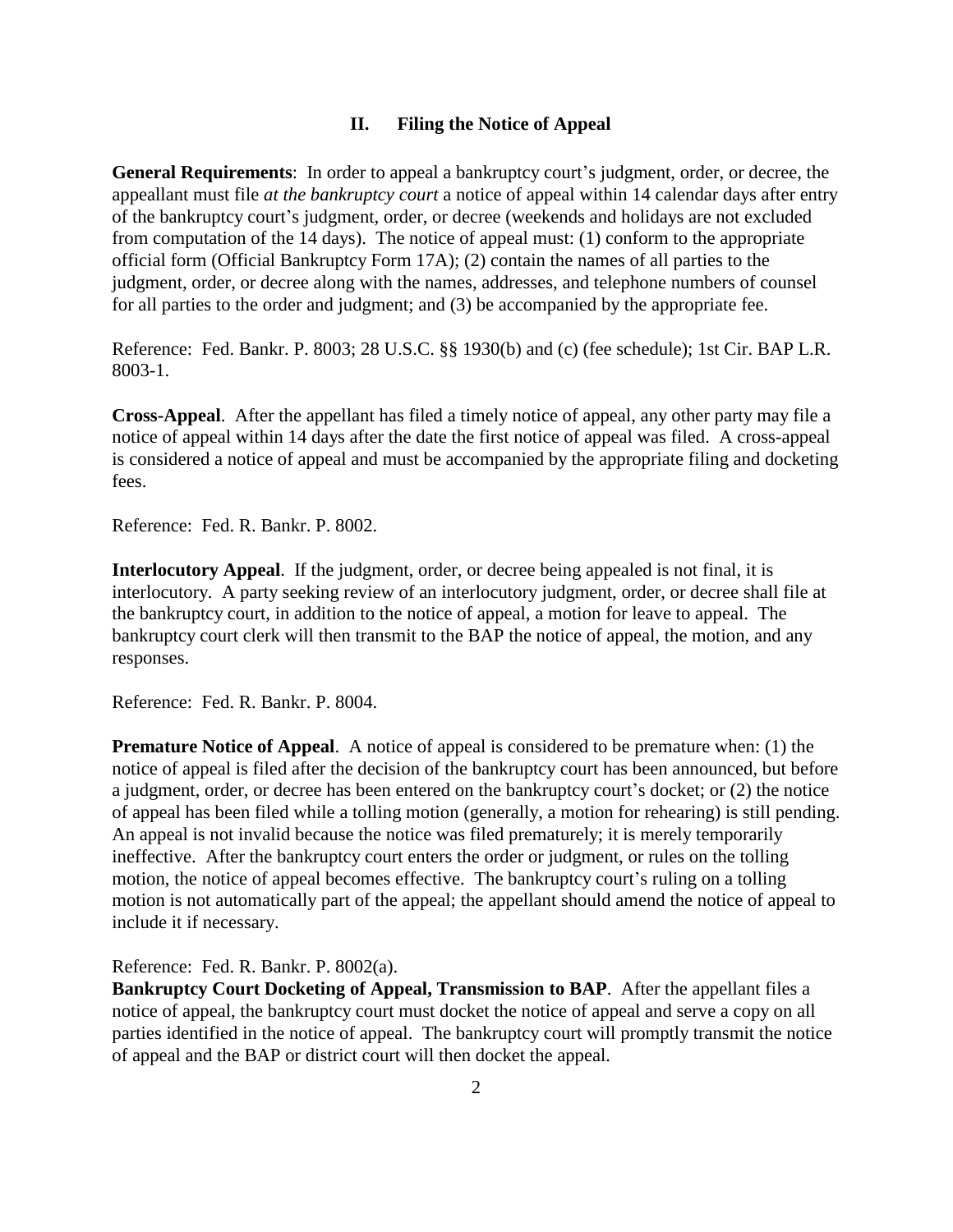#### **II. Filing the Notice of Appeal**

<span id="page-3-0"></span>**General Requirements**: In order to appeal a bankruptcy court's judgment, order, or decree, the appeallant must file *at the bankruptcy court* a notice of appeal within 14 calendar days after entry of the bankruptcy court's judgment, order, or decree (weekends and holidays are not excluded from computation of the 14 days). The notice of appeal must: (1) conform to the appropriate official form (Official Bankruptcy Form 17A); (2) contain the names of all parties to the judgment, order, or decree along with the names, addresses, and telephone numbers of counsel for all parties to the order and judgment; and (3) be accompanied by the appropriate fee.

Reference: Fed. Bankr. P. 8003; 28 U.S.C. §§ 1930(b) and (c) (fee schedule); 1st Cir. BAP L.R. 8003-1.

**Cross-Appeal**. After the appellant has filed a timely notice of appeal, any other party may file a notice of appeal within 14 days after the date the first notice of appeal was filed. A cross-appeal is considered a notice of appeal and must be accompanied by the appropriate filing and docketing fees.

Reference: Fed. R. Bankr. P. 8002.

**Interlocutory Appeal**. If the judgment, order, or decree being appealed is not final, it is interlocutory. A party seeking review of an interlocutory judgment, order, or decree shall file at the bankruptcy court, in addition to the notice of appeal, a motion for leave to appeal. The bankruptcy court clerk will then transmit to the BAP the notice of appeal, the motion, and any responses.

Reference: Fed. R. Bankr. P. 8004.

**Premature Notice of Appeal.** A notice of appeal is considered to be premature when: (1) the notice of appeal is filed after the decision of the bankruptcy court has been announced, but before a judgment, order, or decree has been entered on the bankruptcy court's docket; or (2) the notice of appeal has been filed while a tolling motion (generally, a motion for rehearing) is still pending. An appeal is not invalid because the notice was filed prematurely; it is merely temporarily ineffective. After the bankruptcy court enters the order or judgment, or rules on the tolling motion, the notice of appeal becomes effective. The bankruptcy court's ruling on a tolling motion is not automatically part of the appeal; the appellant should amend the notice of appeal to include it if necessary.

Reference: Fed. R. Bankr. P. 8002(a).

**Bankruptcy Court Docketing of Appeal, Transmission to BAP**. After the appellant files a notice of appeal, the bankruptcy court must docket the notice of appeal and serve a copy on all parties identified in the notice of appeal. The bankruptcy court will promptly transmit the notice of appeal and the BAP or district court will then docket the appeal.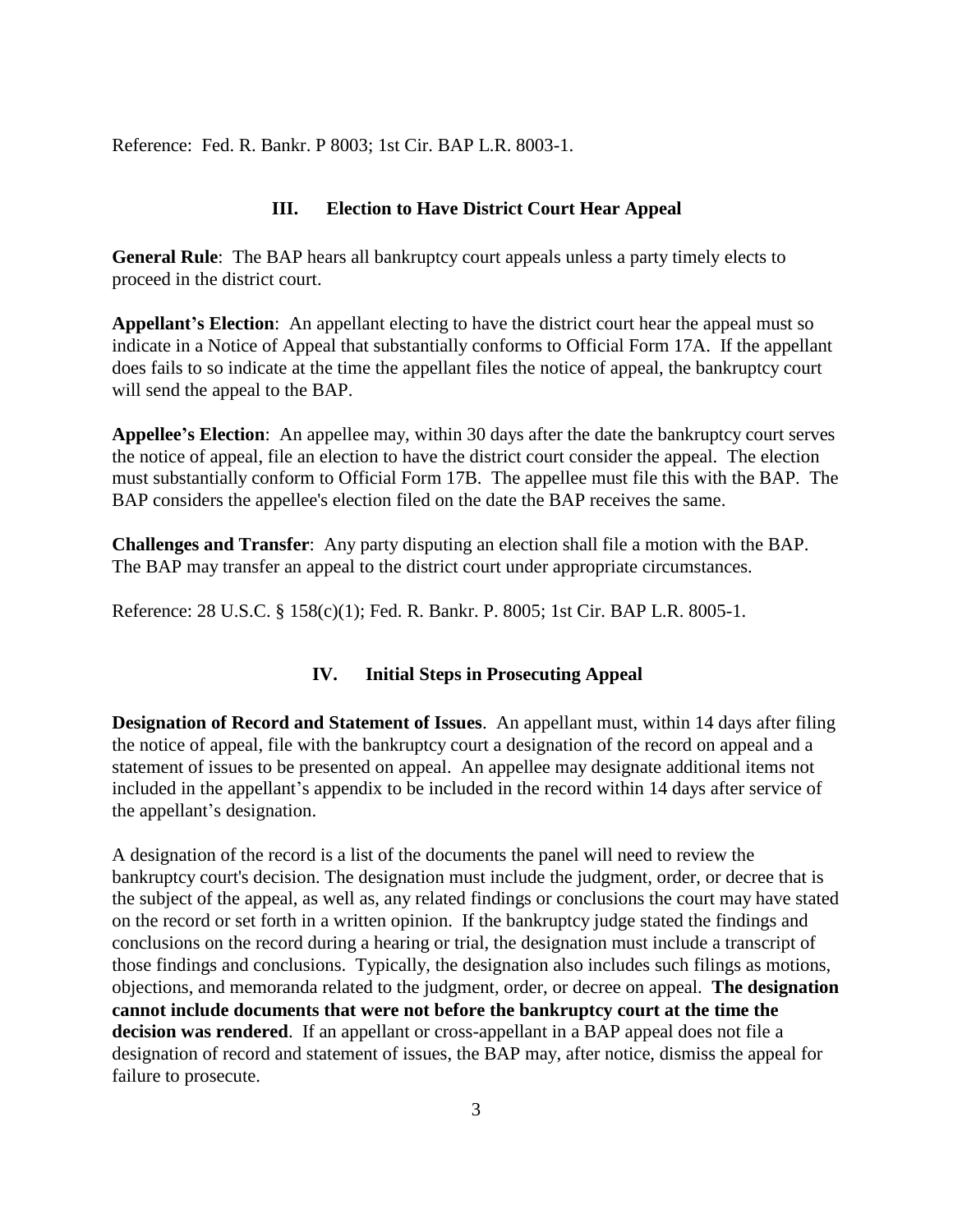<span id="page-4-0"></span>Reference: Fed. R. Bankr. P 8003; 1st Cir. BAP L.R. 8003-1.

#### **III. Election to Have District Court Hear Appeal**

**General Rule**: The BAP hears all bankruptcy court appeals unless a party timely elects to proceed in the district court.

**Appellant's Election**: An appellant electing to have the district court hear the appeal must so indicate in a Notice of Appeal that substantially conforms to Official Form 17A. If the appellant does fails to so indicate at the time the appellant files the notice of appeal, the bankruptcy court will send the appeal to the BAP.

**Appellee's Election**: An appellee may, within 30 days after the date the bankruptcy court serves the notice of appeal, file an election to have the district court consider the appeal. The election must substantially conform to Official Form 17B. The appellee must file this with the BAP. The BAP considers the appellee's election filed on the date the BAP receives the same.

**Challenges and Transfer**: Any party disputing an election shall file a motion with the BAP. The BAP may transfer an appeal to the district court under appropriate circumstances.

<span id="page-4-1"></span>Reference: 28 U.S.C. § 158(c)(1); Fed. R. Bankr. P. 8005; 1st Cir. BAP L.R. 8005-1.

### **IV. Initial Steps in Prosecuting Appeal**

**Designation of Record and Statement of Issues**. An appellant must, within 14 days after filing the notice of appeal, file with the bankruptcy court a designation of the record on appeal and a statement of issues to be presented on appeal. An appellee may designate additional items not included in the appellant's appendix to be included in the record within 14 days after service of the appellant's designation.

A designation of the record is a list of the documents the panel will need to review the bankruptcy court's decision. The designation must include the judgment, order, or decree that is the subject of the appeal, as well as, any related findings or conclusions the court may have stated on the record or set forth in a written opinion. If the bankruptcy judge stated the findings and conclusions on the record during a hearing or trial, the designation must include a transcript of those findings and conclusions. Typically, the designation also includes such filings as motions, objections, and memoranda related to the judgment, order, or decree on appeal. **The designation cannot include documents that were not before the bankruptcy court at the time the decision was rendered**. If an appellant or cross-appellant in a BAP appeal does not file a designation of record and statement of issues, the BAP may, after notice, dismiss the appeal for failure to prosecute.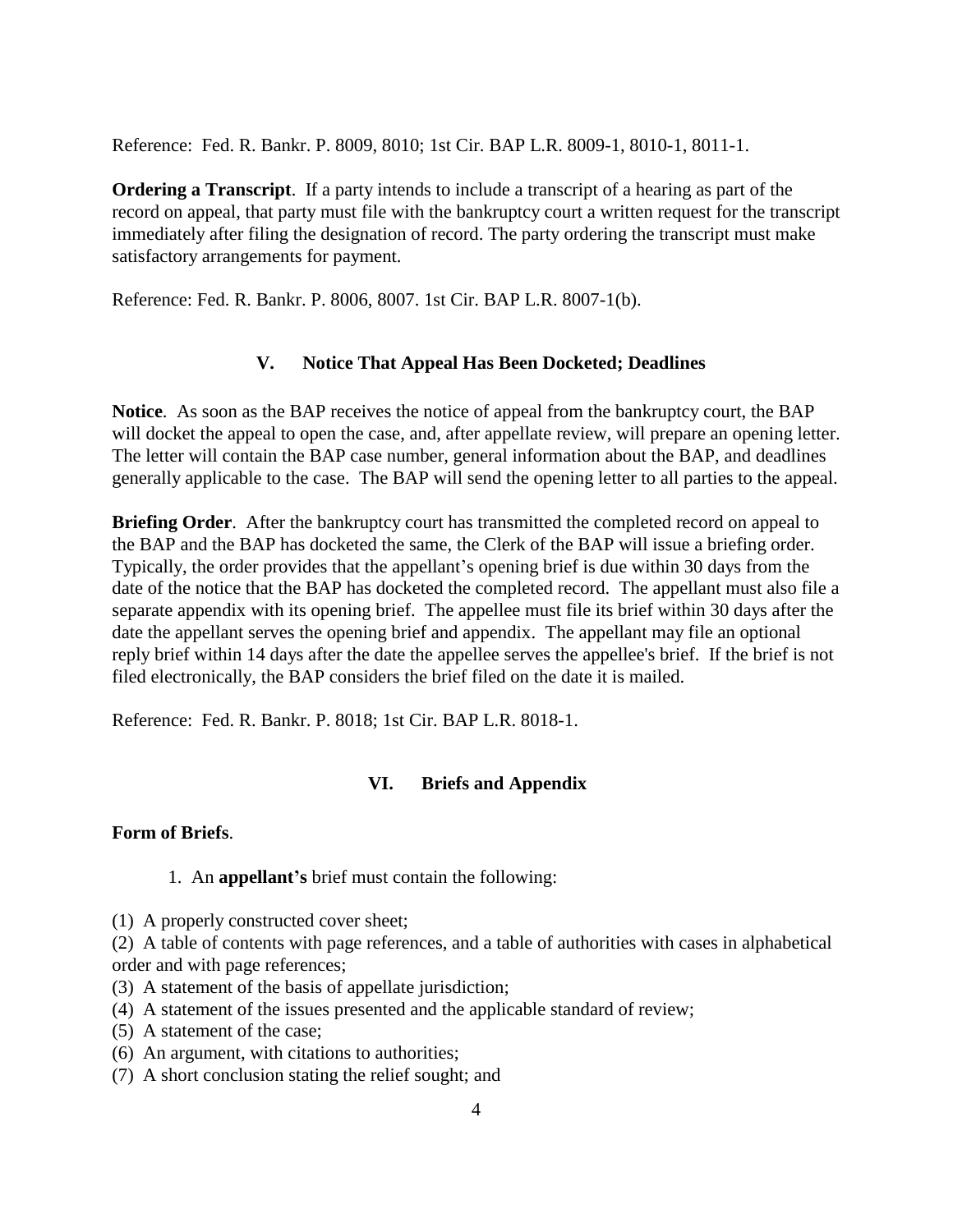Reference: Fed. R. Bankr. P. 8009, 8010; 1st Cir. BAP L.R. 8009-1, 8010-1, 8011-1.

**Ordering a Transcript**. If a party intends to include a transcript of a hearing as part of the record on appeal, that party must file with the bankruptcy court a written request for the transcript immediately after filing the designation of record. The party ordering the transcript must make satisfactory arrangements for payment.

<span id="page-5-0"></span>Reference: Fed. R. Bankr. P. 8006, 8007. 1st Cir. BAP L.R. 8007-1(b).

#### **V. Notice That Appeal Has Been Docketed; Deadlines**

**Notice**. As soon as the BAP receives the notice of appeal from the bankruptcy court, the BAP will docket the appeal to open the case, and, after appellate review, will prepare an opening letter. The letter will contain the BAP case number, general information about the BAP, and deadlines generally applicable to the case. The BAP will send the opening letter to all parties to the appeal.

**Briefing Order.** After the bankruptcy court has transmitted the completed record on appeal to the BAP and the BAP has docketed the same, the Clerk of the BAP will issue a briefing order. Typically, the order provides that the appellant's opening brief is due within 30 days from the date of the notice that the BAP has docketed the completed record. The appellant must also file a separate appendix with its opening brief. The appellee must file its brief within 30 days after the date the appellant serves the opening brief and appendix. The appellant may file an optional reply brief within 14 days after the date the appellee serves the appellee's brief. If the brief is not filed electronically, the BAP considers the brief filed on the date it is mailed.

<span id="page-5-1"></span>Reference: Fed. R. Bankr. P. 8018; 1st Cir. BAP L.R. 8018-1.

## **VI. Briefs and Appendix**

#### **Form of Briefs**.

- 1. An **appellant's** brief must contain the following:
- (1) A properly constructed cover sheet;

(2) A table of contents with page references, and a table of authorities with cases in alphabetical order and with page references;

- (3) A statement of the basis of appellate jurisdiction;
- (4) A statement of the issues presented and the applicable standard of review;
- (5) A statement of the case;
- (6) An argument, with citations to authorities;
- (7) A short conclusion stating the relief sought; and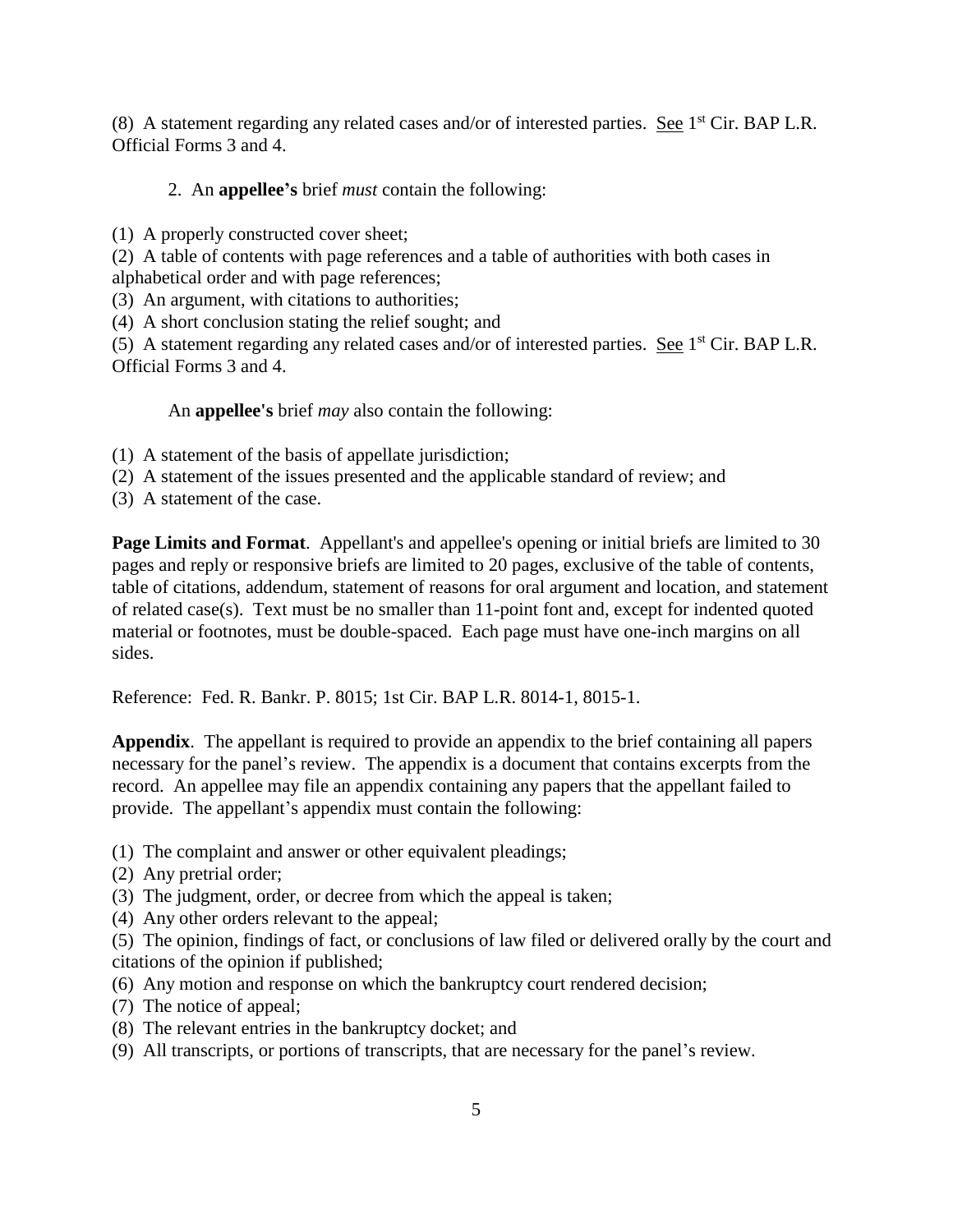(8) A statement regarding any related cases and/or of interested parties. See  $1<sup>st</sup>$  Cir. BAP L.R. Official Forms 3 and 4.

## 2. An **appellee's** brief *must* contain the following:

(1) A properly constructed cover sheet;

(2) A table of contents with page references and a table of authorities with both cases in alphabetical order and with page references;

(3) An argument, with citations to authorities;

(4) A short conclusion stating the relief sought; and

(5) A statement regarding any related cases and/or of interested parties. See  $1<sup>st</sup>$  Cir. BAP L.R. Official Forms 3 and 4.

An **appellee's** brief *may* also contain the following:

(1) A statement of the basis of appellate jurisdiction;

- (2) A statement of the issues presented and the applicable standard of review; and
- (3) A statement of the case.

**Page Limits and Format**. Appellant's and appellee's opening or initial briefs are limited to 30 pages and reply or responsive briefs are limited to 20 pages, exclusive of the table of contents, table of citations, addendum, statement of reasons for oral argument and location, and statement of related case(s). Text must be no smaller than 11-point font and, except for indented quoted material or footnotes, must be double-spaced. Each page must have one-inch margins on all sides.

Reference: Fed. R. Bankr. P. 8015; 1st Cir. BAP L.R. 8014-1, 8015-1.

**Appendix**. The appellant is required to provide an appendix to the brief containing all papers necessary for the panel's review. The appendix is a document that contains excerpts from the record. An appellee may file an appendix containing any papers that the appellant failed to provide. The appellant's appendix must contain the following:

- (1) The complaint and answer or other equivalent pleadings;
- (2) Any pretrial order;
- (3) The judgment, order, or decree from which the appeal is taken;
- (4) Any other orders relevant to the appeal;

(5) The opinion, findings of fact, or conclusions of law filed or delivered orally by the court and citations of the opinion if published;

- (6) Any motion and response on which the bankruptcy court rendered decision;
- (7) The notice of appeal;
- (8) The relevant entries in the bankruptcy docket; and
- (9) All transcripts, or portions of transcripts, that are necessary for the panel's review.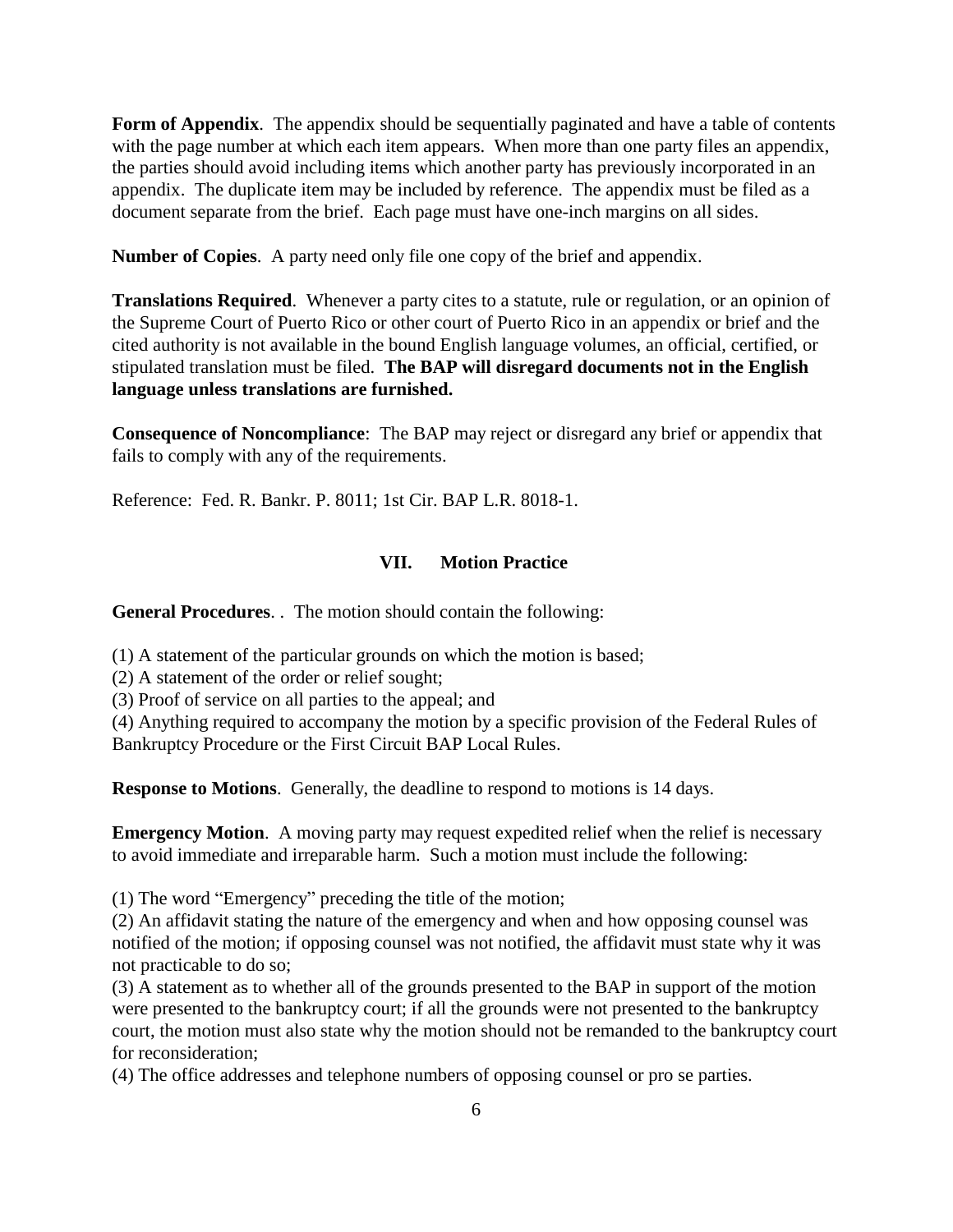**Form of Appendix**. The appendix should be sequentially paginated and have a table of contents with the page number at which each item appears. When more than one party files an appendix, the parties should avoid including items which another party has previously incorporated in an appendix. The duplicate item may be included by reference. The appendix must be filed as a document separate from the brief. Each page must have one-inch margins on all sides.

**Number of Copies**. A party need only file one copy of the brief and appendix.

**Translations Required**. Whenever a party cites to a statute, rule or regulation, or an opinion of the Supreme Court of Puerto Rico or other court of Puerto Rico in an appendix or brief and the cited authority is not available in the bound English language volumes, an official, certified, or stipulated translation must be filed. **The BAP will disregard documents not in the English language unless translations are furnished.**

**Consequence of Noncompliance**: The BAP may reject or disregard any brief or appendix that fails to comply with any of the requirements.

<span id="page-7-0"></span>Reference: Fed. R. Bankr. P. 8011; 1st Cir. BAP L.R. 8018-1.

#### **VII. Motion Practice**

**General Procedures**. . The motion should contain the following:

(1) A statement of the particular grounds on which the motion is based;

(2) A statement of the order or relief sought;

(3) Proof of service on all parties to the appeal; and

(4) Anything required to accompany the motion by a specific provision of the Federal Rules of Bankruptcy Procedure or the First Circuit BAP Local Rules.

**Response to Motions**. Generally, the deadline to respond to motions is 14 days.

**Emergency Motion.** A moving party may request expedited relief when the relief is necessary to avoid immediate and irreparable harm. Such a motion must include the following:

(1) The word "Emergency" preceding the title of the motion;

(2) An affidavit stating the nature of the emergency and when and how opposing counsel was notified of the motion; if opposing counsel was not notified, the affidavit must state why it was not practicable to do so;

(3) A statement as to whether all of the grounds presented to the BAP in support of the motion were presented to the bankruptcy court; if all the grounds were not presented to the bankruptcy court, the motion must also state why the motion should not be remanded to the bankruptcy court for reconsideration;

(4) The office addresses and telephone numbers of opposing counsel or pro se parties.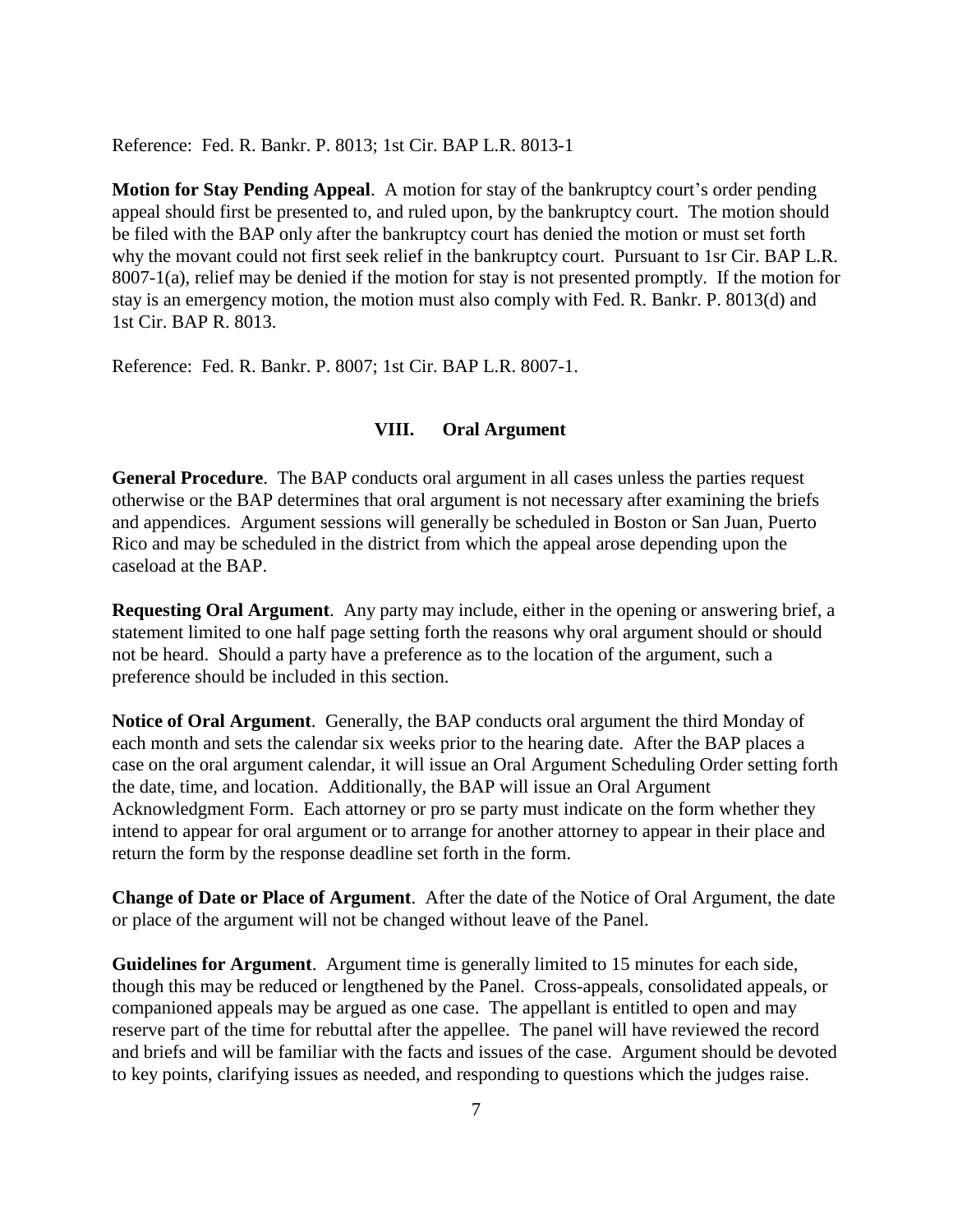Reference: Fed. R. Bankr. P. 8013; 1st Cir. BAP L.R. 8013-1

**Motion for Stay Pending Appeal**. A motion for stay of the bankruptcy court's order pending appeal should first be presented to, and ruled upon, by the bankruptcy court. The motion should be filed with the BAP only after the bankruptcy court has denied the motion or must set forth why the movant could not first seek relief in the bankruptcy court. Pursuant to 1sr Cir. BAP L.R. 8007-1(a), relief may be denied if the motion for stay is not presented promptly. If the motion for stay is an emergency motion, the motion must also comply with Fed. R. Bankr. P. 8013(d) and 1st Cir. BAP R. 8013.

<span id="page-8-0"></span>Reference: Fed. R. Bankr. P. 8007; 1st Cir. BAP L.R. 8007-1.

#### **VIII. Oral Argument**

**General Procedure**. The BAP conducts oral argument in all cases unless the parties request otherwise or the BAP determines that oral argument is not necessary after examining the briefs and appendices. Argument sessions will generally be scheduled in Boston or San Juan, Puerto Rico and may be scheduled in the district from which the appeal arose depending upon the caseload at the BAP.

**Requesting Oral Argument**. Any party may include, either in the opening or answering brief, a statement limited to one half page setting forth the reasons why oral argument should or should not be heard. Should a party have a preference as to the location of the argument, such a preference should be included in this section.

**Notice of Oral Argument**. Generally, the BAP conducts oral argument the third Monday of each month and sets the calendar six weeks prior to the hearing date. After the BAP places a case on the oral argument calendar, it will issue an Oral Argument Scheduling Order setting forth the date, time, and location. Additionally, the BAP will issue an Oral Argument Acknowledgment Form. Each attorney or pro se party must indicate on the form whether they intend to appear for oral argument or to arrange for another attorney to appear in their place and return the form by the response deadline set forth in the form.

**Change of Date or Place of Argument**. After the date of the Notice of Oral Argument, the date or place of the argument will not be changed without leave of the Panel.

**Guidelines for Argument**. Argument time is generally limited to 15 minutes for each side, though this may be reduced or lengthened by the Panel. Cross-appeals, consolidated appeals, or companioned appeals may be argued as one case. The appellant is entitled to open and may reserve part of the time for rebuttal after the appellee. The panel will have reviewed the record and briefs and will be familiar with the facts and issues of the case. Argument should be devoted to key points, clarifying issues as needed, and responding to questions which the judges raise.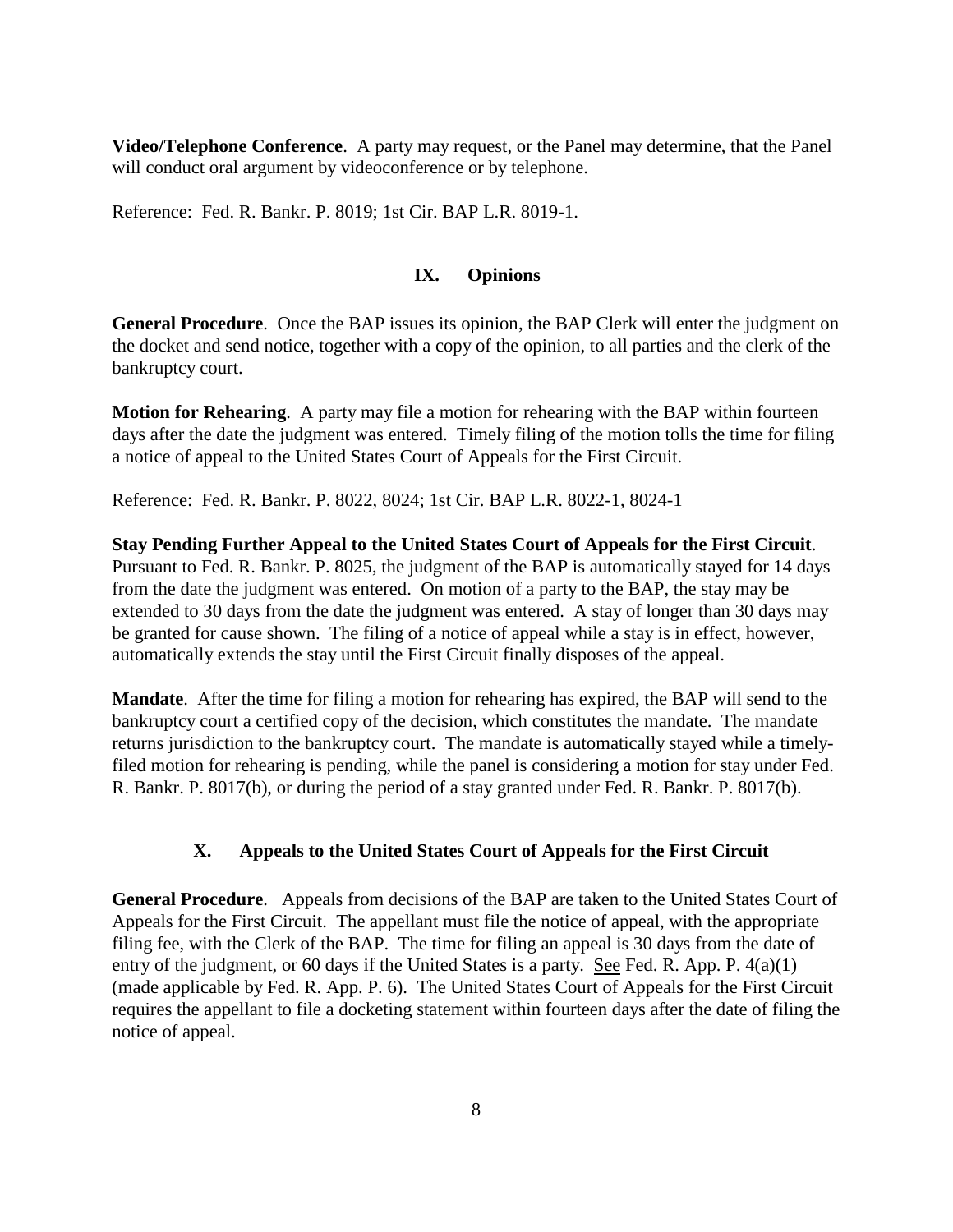**Video/Telephone Conference**. A party may request, or the Panel may determine, that the Panel will conduct oral argument by videoconference or by telephone.

<span id="page-9-0"></span>Reference: Fed. R. Bankr. P. 8019; 1st Cir. BAP L.R. 8019-1.

#### **IX. Opinions**

**General Procedure**. Once the BAP issues its opinion, the BAP Clerk will enter the judgment on the docket and send notice, together with a copy of the opinion, to all parties and the clerk of the bankruptcy court.

**Motion for Rehearing**. A party may file a motion for rehearing with the BAP within fourteen days after the date the judgment was entered. Timely filing of the motion tolls the time for filing a notice of appeal to the United States Court of Appeals for the First Circuit.

Reference: Fed. R. Bankr. P. 8022, 8024; 1st Cir. BAP L.R. 8022-1, 8024-1

**Stay Pending Further Appeal to the United States Court of Appeals for the First Circuit**. Pursuant to Fed. R. Bankr. P. 8025, the judgment of the BAP is automatically stayed for 14 days from the date the judgment was entered. On motion of a party to the BAP, the stay may be extended to 30 days from the date the judgment was entered. A stay of longer than 30 days may be granted for cause shown. The filing of a notice of appeal while a stay is in effect, however, automatically extends the stay until the First Circuit finally disposes of the appeal.

**Mandate**. After the time for filing a motion for rehearing has expired, the BAP will send to the bankruptcy court a certified copy of the decision, which constitutes the mandate. The mandate returns jurisdiction to the bankruptcy court. The mandate is automatically stayed while a timelyfiled motion for rehearing is pending, while the panel is considering a motion for stay under Fed. R. Bankr. P. 8017(b), or during the period of a stay granted under Fed. R. Bankr. P. 8017(b).

## **X. Appeals to the United States Court of Appeals for the First Circuit**

<span id="page-9-1"></span>**General Procedure**. Appeals from decisions of the BAP are taken to the United States Court of Appeals for the First Circuit. The appellant must file the notice of appeal, with the appropriate filing fee, with the Clerk of the BAP. The time for filing an appeal is 30 days from the date of entry of the judgment, or 60 days if the United States is a party. See Fed. R. App. P. 4(a)(1) (made applicable by Fed. R. App. P. 6). The United States Court of Appeals for the First Circuit requires the appellant to file a docketing statement within fourteen days after the date of filing the notice of appeal.